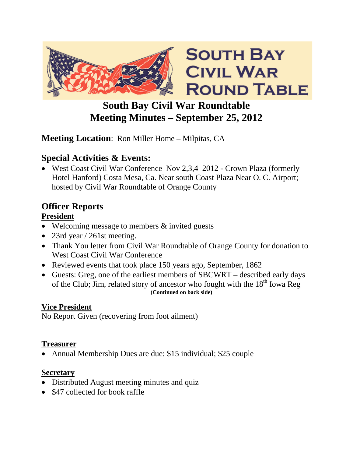

## **South Bay Civil War Roundtable Meeting Minutes – September 25, 2012**

### **Meeting Location**: Ron Miller Home – Milpitas, CA

## **Special Activities & Events:**

• West Coast Civil War Conference Nov 2,3,4 2012 - Crown Plaza (formerly Hotel Hanford) Costa Mesa, Ca. Near south Coast Plaza Near O. C. Airport; hosted by Civil War Roundtable of Orange County

## **Officer Reports**

#### **President**

- Welcoming message to members & invited guests
- 23rd year / 261st meeting.
- Thank You letter from Civil War Roundtable of Orange County for donation to West Coast Civil War Conference
- Reviewed events that took place 150 years ago, September, 1862
- Guests: Greg, one of the earliest members of SBCWRT described early days of the Club; Jim, related story of ancestor who fought with the 18<sup>th</sup> Iowa Reg **(Continued on back side)**

#### **Vice President**

No Report Given (recovering from foot ailment)

#### **Treasurer**

• Annual Membership Dues are due: \$15 individual; \$25 couple

#### **Secretary**

- Distributed August meeting minutes and quiz
- \$47 collected for book raffle